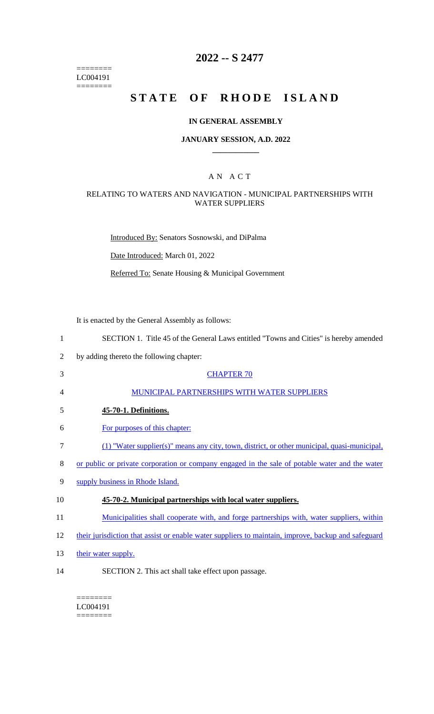======== LC004191  $=$ 

# **2022 -- S 2477**

# STATE OF RHODE ISLAND

## **IN GENERAL ASSEMBLY**

#### **JANUARY SESSION, A.D. 2022 \_\_\_\_\_\_\_\_\_\_\_\_**

### A N A C T

## RELATING TO WATERS AND NAVIGATION - MUNICIPAL PARTNERSHIPS WITH WATER SUPPLIERS

Introduced By: Senators Sosnowski, and DiPalma

Date Introduced: March 01, 2022

Referred To: Senate Housing & Municipal Government

It is enacted by the General Assembly as follows:

| $\mathbf{1}$ | SECTION 1. Title 45 of the General Laws entitled "Towns and Cities" is hereby amended               |
|--------------|-----------------------------------------------------------------------------------------------------|
| 2            | by adding thereto the following chapter:                                                            |
| 3            | <b>CHAPTER 70</b>                                                                                   |
| 4            | MUNICIPAL PARTNERSHIPS WITH WATER SUPPLIERS                                                         |
| 5            | 45-70-1. Definitions.                                                                               |
| 6            | For purposes of this chapter:                                                                       |
| 7            | (1) "Water supplier(s)" means any city, town, district, or other municipal, quasi-municipal,        |
| 8            | or public or private corporation or company engaged in the sale of potable water and the water      |
| 9            | supply business in Rhode Island.                                                                    |
| 10           | 45-70-2. Municipal partnerships with local water suppliers.                                         |
| 11           | <u>Municipalities shall cooperate with, and forge partnerships with, water suppliers, within</u>    |
| 12           | their jurisdiction that assist or enable water suppliers to maintain, improve, backup and safeguard |
| 13           | their water supply.                                                                                 |
| 14           | SECTION 2. This act shall take effect upon passage.                                                 |

LC004191 ========

 $=$